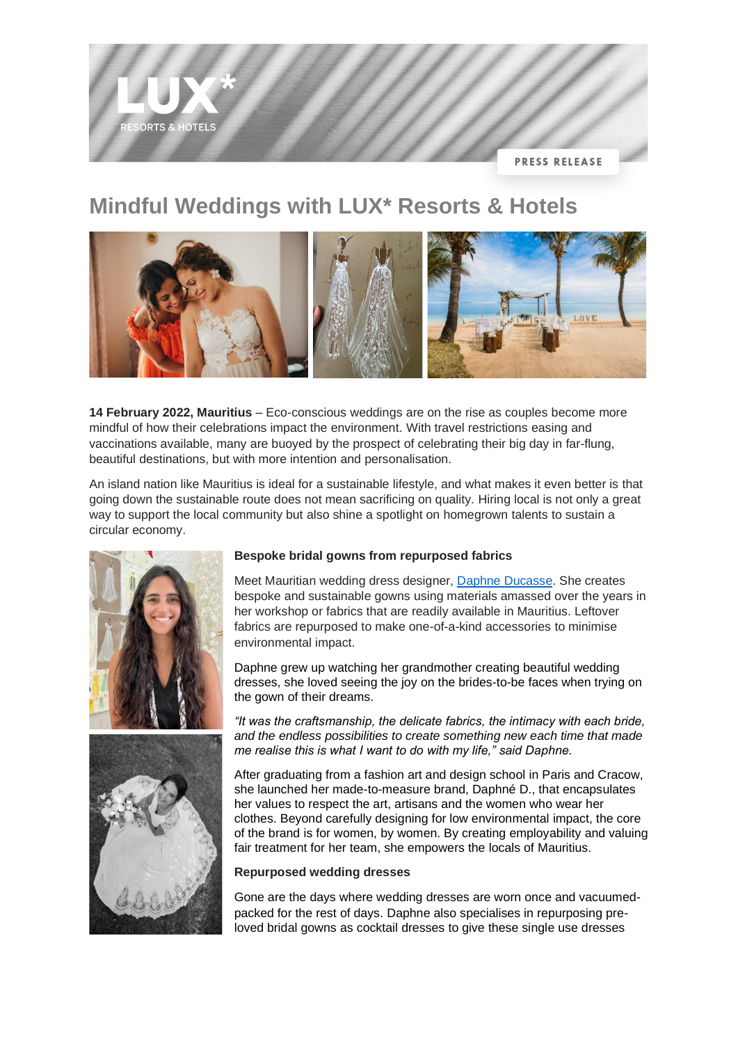# **ORTS & HOTELS PRESS RELEASE**

# **Mindful Weddings with LUX\* Resorts & Hotels**



**14 February 2022, Mauritius** – Eco-conscious weddings are on the rise as couples become more mindful of how their celebrations impact the environment. With travel restrictions easing and vaccinations available, many are buoyed by the prospect of celebrating their big day in far-flung, beautiful destinations, but with more intention and personalisation.

An island nation like Mauritius is ideal for a sustainable lifestyle, and what makes it even better is that going down the sustainable route does not mean sacrificing on quality. Hiring local is not only a great way to support the local community but also shine a spotlight on homegrown talents to sustain a circular economy.





# **Bespoke bridal gowns from repurposed fabrics**

Meet Mauritian wedding dress designer, [Daphne Ducasse.](https://www.instagram.com/daphne.ducasse/?hl=en) She creates bespoke and sustainable gowns using materials amassed over the years in her workshop or fabrics that are readily available in Mauritius. Leftover fabrics are repurposed to make one-of-a-kind accessories to minimise environmental impact.

Daphne grew up watching her grandmother creating beautiful wedding dresses, she loved seeing the joy on the brides-to-be faces when trying on the gown of their dreams.

*"It was the craftsmanship, the delicate fabrics, the intimacy with each bride, and the endless possibilities to create something new each time that made me realise this is what I want to do with my life," said Daphne.*

After graduating from a fashion art and design school in Paris and Cracow, she launched her made-to-measure brand, Daphné D., that encapsulates her values to respect the art, artisans and the women who wear her clothes. Beyond carefully designing for low environmental impact, the core of the brand is for women, by women. By creating employability and valuing fair treatment for her team, she empowers the locals of Mauritius.

# **Repurposed wedding dresses**

Gone are the days where wedding dresses are worn once and vacuumedpacked for the rest of days. Daphne also specialises in repurposing preloved bridal gowns as cocktail dresses to give these single use dresses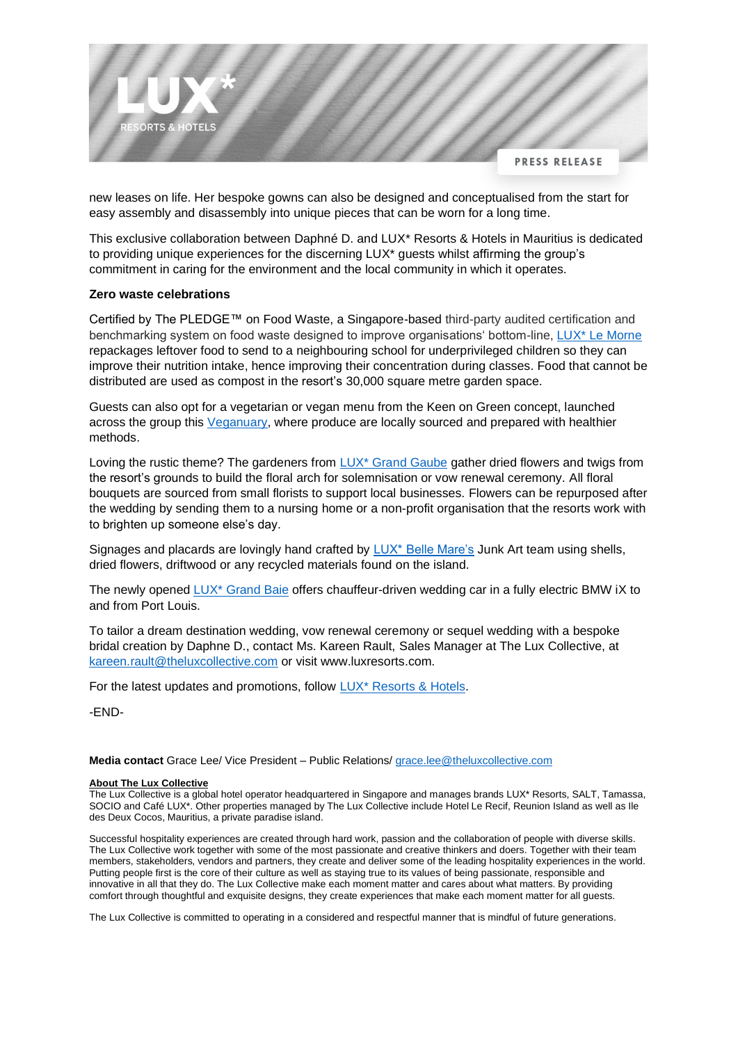

new leases on life. Her bespoke gowns can also be designed and conceptualised from the start for easy assembly and disassembly into unique pieces that can be worn for a long time.

This exclusive collaboration between Daphné D. and LUX\* Resorts & Hotels in Mauritius is dedicated to providing unique experiences for the discerning LUX\* guests whilst affirming the group's commitment in caring for the environment and the local community in which it operates.

## **Zero waste celebrations**

Certified by The PLEDGE™ on Food Waste, a Singapore-based third-party audited certification and benchmarking system on food waste designed to improve organisations' bottom-line, [LUX\\* Le Morne](http://www.luxresorts.com/luxlemorne) repackages leftover food to send to a neighbouring school for underprivileged children so they can improve their nutrition intake, hence improving their concentration during classes. Food that cannot be distributed are used as compost in the resort's 30,000 square metre garden space.

Guests can also opt for a vegetarian or vegan menu from the Keen on Green concept, launched across the group this [Veganuary,](https://www.luxresorts.com/en/about-us/media-centre/press-releases/theluxcollective-keenongreen) where produce are locally sourced and prepared with healthier methods.

Loving the rustic theme? The gardeners from [LUX\\* Grand Gaube](http://www.luxresorts.com/luxgrandgaube) gather dried flowers and twigs from the resort's grounds to build the floral arch for solemnisation or vow renewal ceremony. All floral bouquets are sourced from small florists to support local businesses. Flowers can be repurposed after the wedding by sending them to a nursing home or a non-profit organisation that the resorts work with to brighten up someone else's day.

Signages and placards are lovingly hand crafted by [LUX\\* Belle Mare's](http://www.luxresorts.com/luxbellemare) Junk Art team using shells, dried flowers, driftwood or any recycled materials found on the island.

The newly opened [LUX\\* Grand Baie](http://www.luxresorts.com/luxgrandbaie) offers chauffeur-driven wedding car in a fully electric BMW iX to and from Port Louis.

To tailor a dream destination wedding, vow renewal ceremony or sequel wedding with a bespoke bridal creation by Daphne D., contact Ms. Kareen Rault, Sales Manager at The Lux Collective, at [kareen.rault@theluxcollective.com](mailto:kareen.rault@theluxcollective.com) or visit www.luxresorts.com.

For the latest updates and promotions, follow [LUX\\* Resorts & Hotels.](http://www.instagram.com/luxresorts)

-END-

**Media contact** Grace Lee/ Vice President – Public Relations/ [grace.lee@theluxcollective.com](mailto:grace.lee@theluxcollective.com)

# **About The Lux Collective**

The Lux Collective is a global hotel operator headquartered in Singapore and manages brands LUX\* Resorts, SALT, Tamassa, SOCIO and Café LUX\*. Other properties managed by The Lux Collective include Hotel Le Recif, Reunion Island as well as Ile des Deux Cocos, Mauritius, a private paradise island.

Successful hospitality experiences are created through hard work, passion and the collaboration of people with diverse skills. The Lux Collective work together with some of the most passionate and creative thinkers and doers. Together with their team members, stakeholders, vendors and partners, they create and deliver some of the leading hospitality experiences in the world. Putting people first is the core of their culture as well as staying true to its values of being passionate, responsible and innovative in all that they do. The Lux Collective make each moment matter and cares about what matters. By providing comfort through thoughtful and exquisite designs, they create experiences that make each moment matter for all guests.

The Lux Collective is committed to operating in a considered and respectful manner that is mindful of future generations.